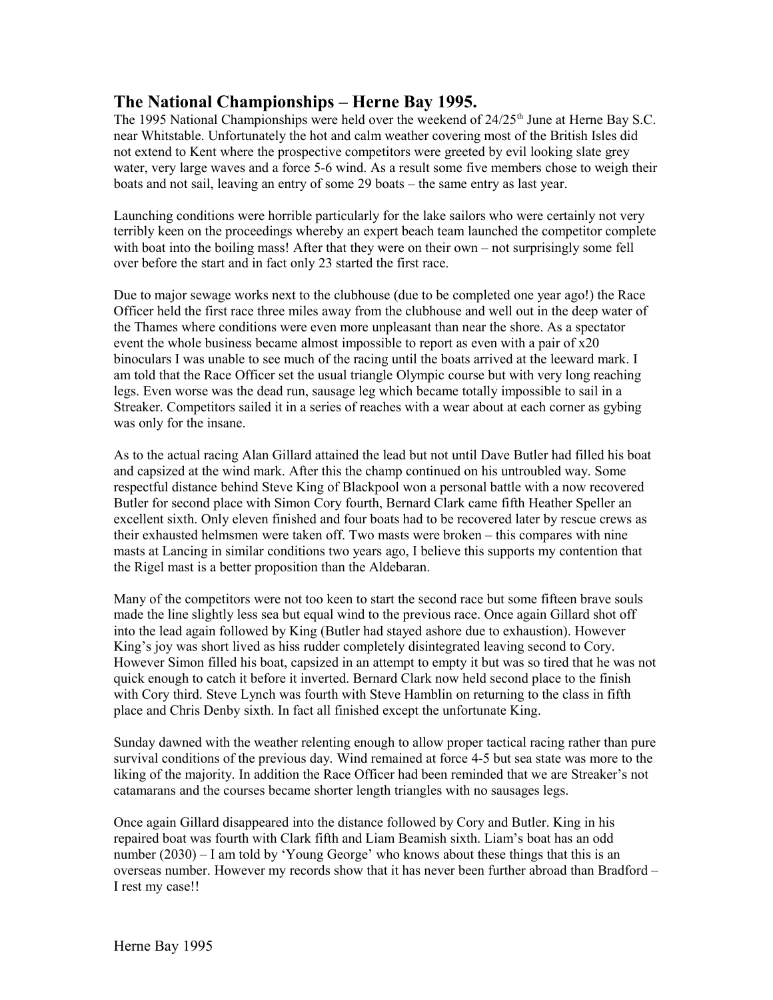## **The National Championships – Herne Bay 1995.**

The 1995 National Championships were held over the weekend of 24/25<sup>th</sup> June at Herne Bay S.C. near Whitstable. Unfortunately the hot and calm weather covering most of the British Isles did not extend to Kent where the prospective competitors were greeted by evil looking slate grey water, very large waves and a force 5-6 wind. As a result some five members chose to weigh their boats and not sail, leaving an entry of some 29 boats – the same entry as last year.

Launching conditions were horrible particularly for the lake sailors who were certainly not very terribly keen on the proceedings whereby an expert beach team launched the competitor complete with boat into the boiling mass! After that they were on their own – not surprisingly some fell over before the start and in fact only 23 started the first race.

Due to major sewage works next to the clubhouse (due to be completed one year ago!) the Race Officer held the first race three miles away from the clubhouse and well out in the deep water of the Thames where conditions were even more unpleasant than near the shore. As a spectator event the whole business became almost impossible to report as even with a pair of x20 binoculars I was unable to see much of the racing until the boats arrived at the leeward mark. I am told that the Race Officer set the usual triangle Olympic course but with very long reaching legs. Even worse was the dead run, sausage leg which became totally impossible to sail in a Streaker. Competitors sailed it in a series of reaches with a wear about at each corner as gybing was only for the insane.

As to the actual racing Alan Gillard attained the lead but not until Dave Butler had filled his boat and capsized at the wind mark. After this the champ continued on his untroubled way. Some respectful distance behind Steve King of Blackpool won a personal battle with a now recovered Butler for second place with Simon Cory fourth, Bernard Clark came fifth Heather Speller an excellent sixth. Only eleven finished and four boats had to be recovered later by rescue crews as their exhausted helmsmen were taken off. Two masts were broken – this compares with nine masts at Lancing in similar conditions two years ago, I believe this supports my contention that the Rigel mast is a better proposition than the Aldebaran.

Many of the competitors were not too keen to start the second race but some fifteen brave souls made the line slightly less sea but equal wind to the previous race. Once again Gillard shot off into the lead again followed by King (Butler had stayed ashore due to exhaustion). However King's joy was short lived as hiss rudder completely disintegrated leaving second to Cory. However Simon filled his boat, capsized in an attempt to empty it but was so tired that he was not quick enough to catch it before it inverted. Bernard Clark now held second place to the finish with Cory third. Steve Lynch was fourth with Steve Hamblin on returning to the class in fifth place and Chris Denby sixth. In fact all finished except the unfortunate King.

Sunday dawned with the weather relenting enough to allow proper tactical racing rather than pure survival conditions of the previous day. Wind remained at force 4-5 but sea state was more to the liking of the majority. In addition the Race Officer had been reminded that we are Streaker's not catamarans and the courses became shorter length triangles with no sausages legs.

Once again Gillard disappeared into the distance followed by Cory and Butler. King in his repaired boat was fourth with Clark fifth and Liam Beamish sixth. Liam's boat has an odd number (2030) – I am told by 'Young George' who knows about these things that this is an overseas number. However my records show that it has never been further abroad than Bradford – I rest my case!!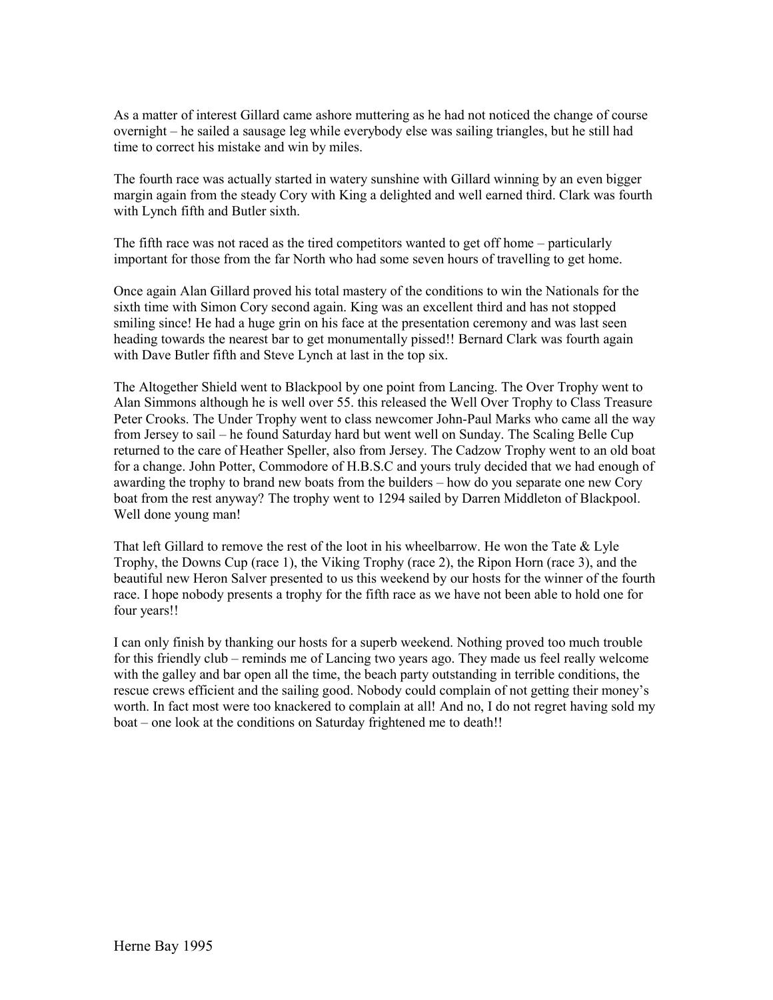As a matter of interest Gillard came ashore muttering as he had not noticed the change of course overnight – he sailed a sausage leg while everybody else was sailing triangles, but he still had time to correct his mistake and win by miles.

The fourth race was actually started in watery sunshine with Gillard winning by an even bigger margin again from the steady Cory with King a delighted and well earned third. Clark was fourth with Lynch fifth and Butler sixth.

The fifth race was not raced as the tired competitors wanted to get off home – particularly important for those from the far North who had some seven hours of travelling to get home.

Once again Alan Gillard proved his total mastery of the conditions to win the Nationals for the sixth time with Simon Cory second again. King was an excellent third and has not stopped smiling since! He had a huge grin on his face at the presentation ceremony and was last seen heading towards the nearest bar to get monumentally pissed!! Bernard Clark was fourth again with Dave Butler fifth and Steve Lynch at last in the top six.

The Altogether Shield went to Blackpool by one point from Lancing. The Over Trophy went to Alan Simmons although he is well over 55. this released the Well Over Trophy to Class Treasure Peter Crooks. The Under Trophy went to class newcomer John-Paul Marks who came all the way from Jersey to sail – he found Saturday hard but went well on Sunday. The Scaling Belle Cup returned to the care of Heather Speller, also from Jersey. The Cadzow Trophy went to an old boat for a change. John Potter, Commodore of H.B.S.C and yours truly decided that we had enough of awarding the trophy to brand new boats from the builders – how do you separate one new Cory boat from the rest anyway? The trophy went to 1294 sailed by Darren Middleton of Blackpool. Well done young man!

That left Gillard to remove the rest of the loot in his wheelbarrow. He won the Tate & Lyle Trophy, the Downs Cup (race 1), the Viking Trophy (race 2), the Ripon Horn (race 3), and the beautiful new Heron Salver presented to us this weekend by our hosts for the winner of the fourth race. I hope nobody presents a trophy for the fifth race as we have not been able to hold one for four years!!

I can only finish by thanking our hosts for a superb weekend. Nothing proved too much trouble for this friendly club – reminds me of Lancing two years ago. They made us feel really welcome with the galley and bar open all the time, the beach party outstanding in terrible conditions, the rescue crews efficient and the sailing good. Nobody could complain of not getting their money's worth. In fact most were too knackered to complain at all! And no, I do not regret having sold my boat – one look at the conditions on Saturday frightened me to death!!